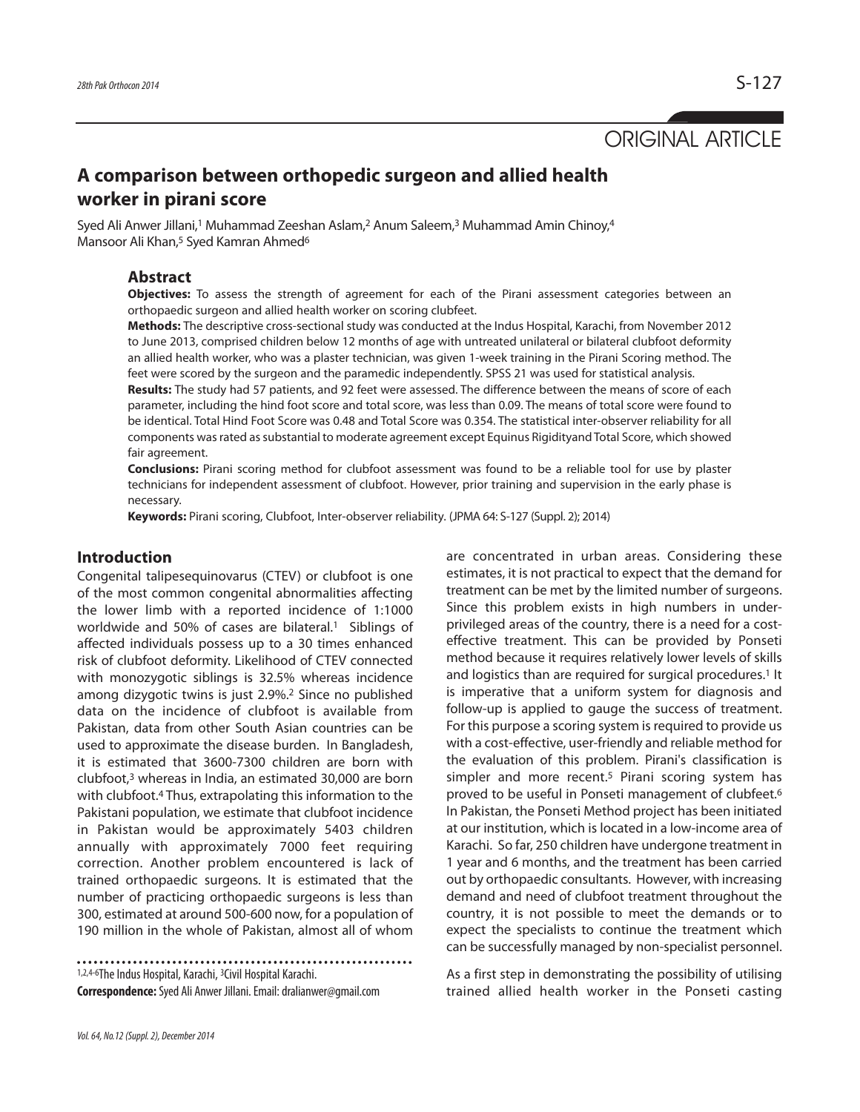# ORIGINAL ARTICLE

## **A comparison between orthopedic surgeon and allied health worker in pirani score**

Syed Ali Anwer Jillani,<sup>1</sup> Muhammad Zeeshan Aslam,<sup>2</sup> Anum Saleem,<sup>3</sup> Muhammad Amin Chinoy,<sup>4</sup> Mansoor Ali Khan,<sup>5</sup> Syed Kamran Ahmed<sup>6</sup>

### **Abstract**

**Objectives:** To assess the strength of agreement for each of the Pirani assessment categories between an orthopaedic surgeon and allied health worker on scoring clubfeet.

**Methods:** The descriptive cross-sectional study was conducted at the Indus Hospital, Karachi, from November 2012 to June 2013, comprised children below 12 months of age with untreated unilateral or bilateral clubfoot deformity an allied health worker, who was a plaster technician, was given 1-week training in the Pirani Scoring method. The feet were scored by the surgeon and the paramedic independently. SPSS 21 was used for statistical analysis.

**Results:** The study had 57 patients, and 92 feet were assessed. The difference between the means of score of each parameter, including the hind foot score and total score, was less than 0.09. The means of total score were found to be identical. Total Hind Foot Score was 0.48 and Total Score was 0.354. The statistical inter-observer reliability for all components was rated as substantial to moderate agreement except Equinus Rigidityand Total Score, which showed fair agreement.

**Conclusions:** Pirani scoring method for clubfoot assessment was found to be a reliable tool for use by plaster technicians for independent assessment of clubfoot. However, prior training and supervision in the early phase is necessary.

**Keywords:** Pirani scoring, Clubfoot, Inter-observer reliability. (JPMA 64: S-127 (Suppl. 2); 2014)

#### **Introduction**

Congenital talipesequinovarus (CTEV) or clubfoot is one of the most common congenital abnormalities affecting the lower limb with a reported incidence of 1:1000 worldwide and 50% of cases are bilateral.<sup>1</sup> Siblings of affected individuals possess up to a 30 times enhanced risk of clubfoot deformity. Likelihood of CTEV connected with monozygotic siblings is 32.5% whereas incidence among dizygotic twins is just 2.9%.<sup>2</sup> Since no published data on the incidence of clubfoot is available from Pakistan, data from other South Asian countries can be used to approximate the disease burden. In Bangladesh, it is estimated that 3600-7300 children are born with clubfoot,<sup>3</sup> whereas in India, an estimated 30,000 are born with clubfoot.<sup>4</sup> Thus, extrapolating this information to the Pakistani population, we estimate that clubfoot incidence in Pakistan would be approximately 5403 children annually with approximately 7000 feet requiring correction. Another problem encountered is lack of trained orthopaedic surgeons. It is estimated that the number of practicing orthopaedic surgeons is less than 300, estimated at around 500-600 now, for a population of 190 million in the whole of Pakistan, almost all of whom

1,2,4-6The Indus Hospital, Karachi, <sup>3</sup>Civil Hospital Karachi. **Correspondence:**Syed Ali Anwer Jillani. Email: dralianwer@gmail.com are concentrated in urban areas. Considering these estimates, it is not practical to expect that the demand for treatment can be met by the limited number of surgeons. Since this problem exists in high numbers in underprivileged areas of the country, there is a need for a costeffective treatment. This can be provided by Ponseti method because it requires relatively lower levels of skills and logistics than are required for surgical procedures.<sup>1</sup> It is imperative that a uniform system for diagnosis and follow-up is applied to gauge the success of treatment. For this purpose a scoring system is required to provide us with a cost-effective, user-friendly and reliable method for the evaluation of this problem. Pirani's classification is simpler and more recent.<sup>5</sup> Pirani scoring system has proved to be useful in Ponseti management of clubfeet.<sup>6</sup> In Pakistan, the Ponseti Method project has been initiated at our institution, which is located in a low-income area of Karachi. So far, 250 children have undergone treatment in 1 year and 6 months, and the treatment has been carried out by orthopaedic consultants. However, with increasing demand and need of clubfoot treatment throughout the country, it is not possible to meet the demands or to expect the specialists to continue the treatment which can be successfully managed by non-specialist personnel.

As a first step in demonstrating the possibility of utilising trained allied health worker in the Ponseti casting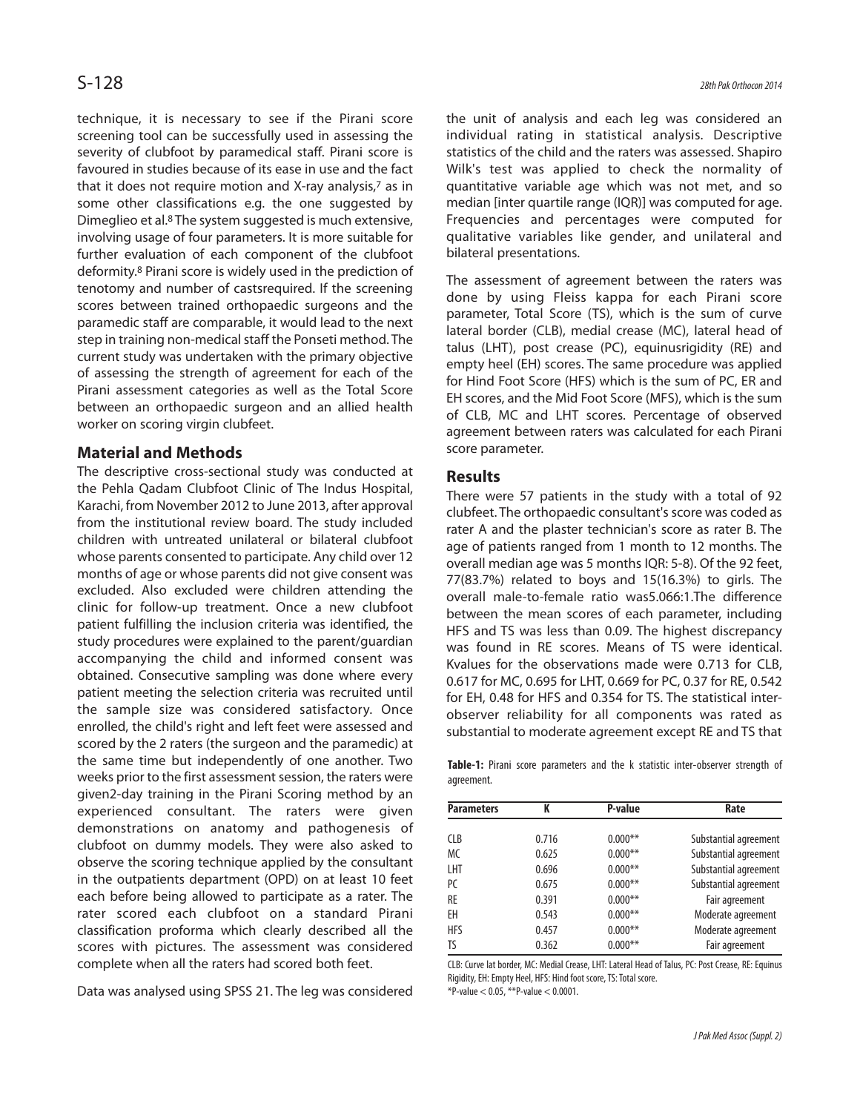technique, it is necessary to see if the Pirani score screening tool can be successfully used in assessing the severity of clubfoot by paramedical staff. Pirani score is favoured in studies because of its ease in use and the fact that it does not require motion and X-ray analysis,<sup>7</sup> as in some other classifications e.g. the one suggested by Dimeglieo et al.<sup>8</sup> The system suggested is much extensive, involving usage of four parameters. It is more suitable for further evaluation of each component of the clubfoot deformity.<sup>8</sup> Pirani score is widely used in the prediction of tenotomy and number of castsrequired. If the screening scores between trained orthopaedic surgeons and the paramedic staff are comparable, it would lead to the next step in training non-medical staff the Ponseti method. The current study was undertaken with the primary objective of assessing the strength of agreement for each of the Pirani assessment categories as well as the Total Score between an orthopaedic surgeon and an allied health worker on scoring virgin clubfeet.

#### **Material and Methods**

The descriptive cross-sectional study was conducted at the Pehla Qadam Clubfoot Clinic of The Indus Hospital, Karachi, from November 2012 to June 2013, after approval from the institutional review board. The study included children with untreated unilateral or bilateral clubfoot whose parents consented to participate. Any child over 12 months of age or whose parents did not give consent was excluded. Also excluded were children attending the clinic for follow-up treatment. Once a new clubfoot patient fulfilling the inclusion criteria was identified, the study procedures were explained to the parent/guardian accompanying the child and informed consent was obtained. Consecutive sampling was done where every patient meeting the selection criteria was recruited until the sample size was considered satisfactory. Once enrolled, the child's right and left feet were assessed and scored by the 2 raters (the surgeon and the paramedic) at the same time but independently of one another. Two weeks prior to the first assessment session, the raters were given2-day training in the Pirani Scoring method by an experienced consultant. The raters were given demonstrations on anatomy and pathogenesis of clubfoot on dummy models. They were also asked to observe the scoring technique applied by the consultant in the outpatients department (OPD) on at least 10 feet each before being allowed to participate as a rater. The rater scored each clubfoot on a standard Pirani classification proforma which clearly described all the scores with pictures. The assessment was considered complete when all the raters had scored both feet.

Data was analysed using SPSS 21. The leg was considered

the unit of analysis and each leg was considered an individual rating in statistical analysis. Descriptive statistics of the child and the raters was assessed. Shapiro Wilk's test was applied to check the normality of quantitative variable age which was not met, and so median [inter quartile range (IQR)] was computed for age. Frequencies and percentages were computed for qualitative variables like gender, and unilateral and bilateral presentations.

The assessment of agreement between the raters was done by using Fleiss kappa for each Pirani score parameter, Total Score (TS), which is the sum of curve lateral border (CLB), medial crease (MC), lateral head of talus (LHT), post crease (PC), equinusrigidity (RE) and empty heel (EH) scores. The same procedure was applied for Hind Foot Score (HFS) which is the sum of PC, ER and EH scores, and the Mid Foot Score (MFS), which is the sum of CLB, MC and LHT scores. Percentage of observed agreement between raters was calculated for each Pirani score parameter.

#### **Results**

There were 57 patients in the study with a total of 92 clubfeet. The orthopaedic consultant's score was coded as rater A and the plaster technician's score as rater B. The age of patients ranged from 1 month to 12 months. The overall median age was 5 months IQR: 5-8). Of the 92 feet, 77(83.7%) related to boys and 15(16.3%) to girls. The overall male-to-female ratio was5.066:1.The difference between the mean scores of each parameter, including HFS and TS was less than 0.09. The highest discrepancy was found in RE scores. Means of TS were identical. Kvalues for the observations made were 0.713 for CLB, 0.617 for MC, 0.695 for LHT, 0.669 for PC, 0.37 for RE, 0.542 for EH, 0.48 for HFS and 0.354 for TS. The statistical interobserver reliability for all components was rated as substantial to moderate agreement except RE and TS that

**Table-1:** Pirani score parameters and the k statistic inter-observer strength of agreement.

| <b>Parameters</b> | K     | P-value   | Rate                  |
|-------------------|-------|-----------|-----------------------|
| <b>CLB</b>        | 0.716 | $0.000**$ | Substantial agreement |
| <b>MC</b>         | 0.625 | $0.000**$ | Substantial agreement |
| LHT               | 0.696 | $0.000**$ | Substantial agreement |
| PC.               | 0.675 | $0.000**$ | Substantial agreement |
| RE                | 0.391 | $0.000**$ | Fair agreement        |
| ΕH                | 0.543 | $0.000**$ | Moderate agreement    |
| <b>HFS</b>        | 0.457 | $0.000**$ | Moderate agreement    |
| TS                | 0.362 | $0.000**$ | Fair agreement        |

CLB: Curve lat border, MC: Medial Crease, LHT: Lateral Head of Talus, PC: Post Crease, RE: Equinus Rigidity, EH: Empty Heel, HFS: Hind foot score, TS: Total score. \*P-value < 0.05, \*\*P-value < 0.0001.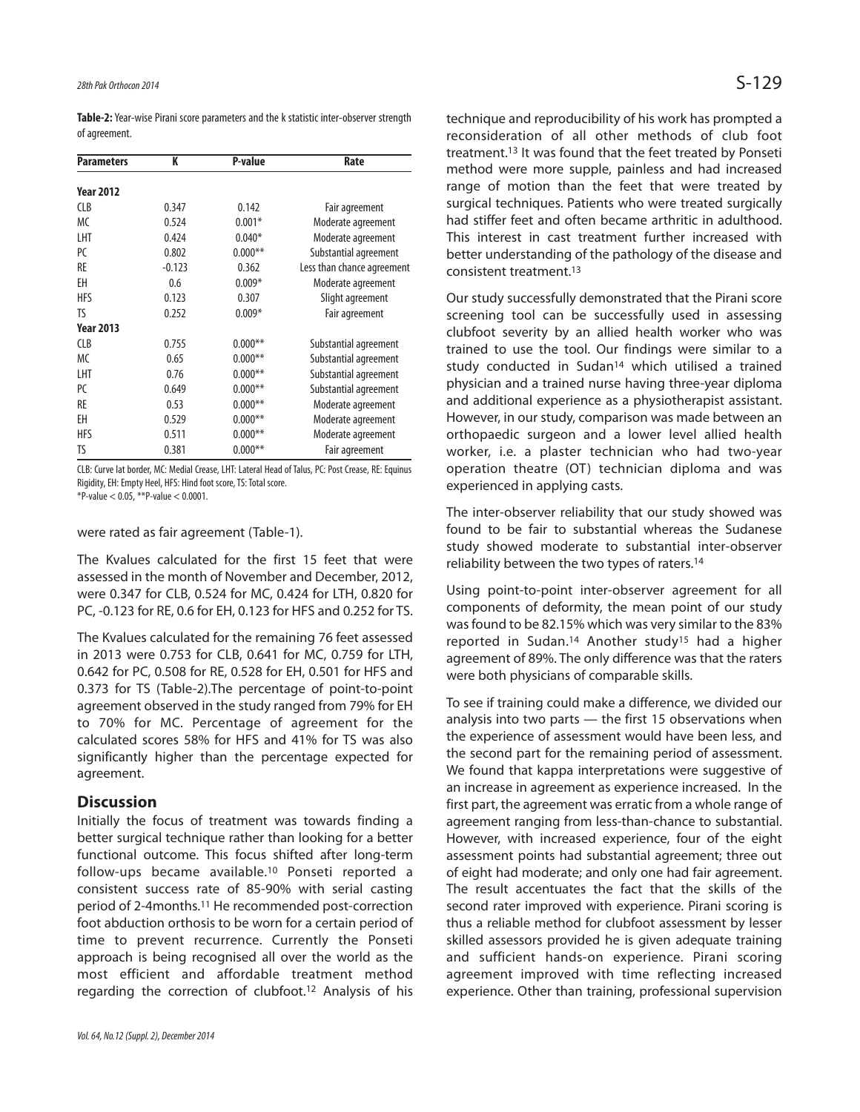**Table-2:**Year-wise Pirani score parameters and the k statistic inter-observer strength of agreement.

| <b>Parameters</b> | K        | P-value   | Rate                       |
|-------------------|----------|-----------|----------------------------|
| <b>Year 2012</b>  |          |           |                            |
| <b>CLB</b>        | 0.347    | 0.142     | Fair agreement             |
| <b>MC</b>         | 0.524    | $0.001*$  | Moderate agreement         |
| LHT               | 0.424    | $0.040*$  | Moderate agreement         |
| PC                | 0.802    | $0.000**$ | Substantial agreement      |
| RE                | $-0.123$ | 0.362     | Less than chance agreement |
| EΗ                | 0.6      | $0.009*$  | Moderate agreement         |
| <b>HFS</b>        | 0.123    | 0.307     | Slight agreement           |
| TS                | 0.252    | $0.009*$  | Fair agreement             |
| <b>Year 2013</b>  |          |           |                            |
| <b>CLB</b>        | 0.755    | $0.000**$ | Substantial agreement      |
| <b>MC</b>         | 0.65     | $0.000**$ | Substantial agreement      |
| LHT               | 0.76     | $0.000**$ | Substantial agreement      |
| PC.               | 0.649    | $0.000**$ | Substantial agreement      |
| RE                | 0.53     | $0.000**$ | Moderate agreement         |
| ΕH                | 0.529    | $0.000**$ | Moderate agreement         |
| HFS               | 0.511    | $0.000**$ | Moderate agreement         |
| TS                | 0.381    | $0.000**$ | Fair agreement             |

CLB: Curve lat border, MC: Medial Crease, LHT: Lateral Head of Talus, PC: Post Crease, RE: Equinus Rigidity, EH: Empty Heel, HFS: Hind foot score, TS: Total score.

\*P-value < 0.05, \*\*P-value < 0.0001.

were rated as fair agreement (Table-1).

The Kvalues calculated for the first 15 feet that were assessed in the month of November and December, 2012, were 0.347 for CLB, 0.524 for MC, 0.424 for LTH, 0.820 for PC, -0.123 for RE, 0.6 for EH, 0.123 for HFS and 0.252 for TS.

The Kvalues calculated for the remaining 76 feet assessed in 2013 were 0.753 for CLB, 0.641 for MC, 0.759 for LTH, 0.642 for PC, 0.508 for RE, 0.528 for EH, 0.501 for HFS and 0.373 for TS (Table-2).The percentage of point-to-point agreement observed in the study ranged from 79% for EH to 70% for MC. Percentage of agreement for the calculated scores 58% for HFS and 41% for TS was also significantly higher than the percentage expected for agreement.

#### **Discussion**

Initially the focus of treatment was towards finding a better surgical technique rather than looking for a better functional outcome. This focus shifted after long-term follow-ups became available.<sup>10</sup> Ponseti reported a consistent success rate of 85-90% with serial casting period of 2-4months.<sup>11</sup> He recommended post-correction foot abduction orthosis to be worn for a certain period of time to prevent recurrence. Currently the Ponseti approach is being recognised all over the world as the most efficient and affordable treatment method regarding the correction of clubfoot.<sup>12</sup> Analysis of his technique and reproducibility of his work has prompted a reconsideration of all other methods of club foot treatment.<sup>13</sup> It was found that the feet treated by Ponseti method were more supple, painless and had increased range of motion than the feet that were treated by surgical techniques. Patients who were treated surgically had stiffer feet and often became arthritic in adulthood. This interest in cast treatment further increased with better understanding of the pathology of the disease and consistent treatment.<sup>13</sup>

Our study successfully demonstrated that the Pirani score screening tool can be successfully used in assessing clubfoot severity by an allied health worker who was trained to use the tool. Our findings were similar to a study conducted in Sudan<sup>14</sup> which utilised a trained physician and a trained nurse having three-year diploma and additional experience as a physiotherapist assistant. However, in our study, comparison was made between an orthopaedic surgeon and a lower level allied health worker, i.e. a plaster technician who had two-year operation theatre (OT) technician diploma and was experienced in applying casts.

The inter-observer reliability that our study showed was found to be fair to substantial whereas the Sudanese study showed moderate to substantial inter-observer reliability between the two types of raters.<sup>14</sup>

Using point-to-point inter-observer agreement for all components of deformity, the mean point of our study was found to be 82.15% which was very similar to the 83% reported in Sudan.<sup>14</sup> Another study<sup>15</sup> had a higher agreement of 89%. The only difference was that the raters were both physicians of comparable skills.

To see if training could make a difference, we divided our analysis into two parts — the first 15 observations when the experience of assessment would have been less, and the second part for the remaining period of assessment. We found that kappa interpretations were suggestive of an increase in agreement as experience increased. In the first part, the agreement was erratic from a whole range of agreement ranging from less-than-chance to substantial. However, with increased experience, four of the eight assessment points had substantial agreement; three out of eight had moderate; and only one had fair agreement. The result accentuates the fact that the skills of the second rater improved with experience. Pirani scoring is thus a reliable method for clubfoot assessment by lesser skilled assessors provided he is given adequate training and sufficient hands-on experience. Pirani scoring agreement improved with time reflecting increased experience. Other than training, professional supervision